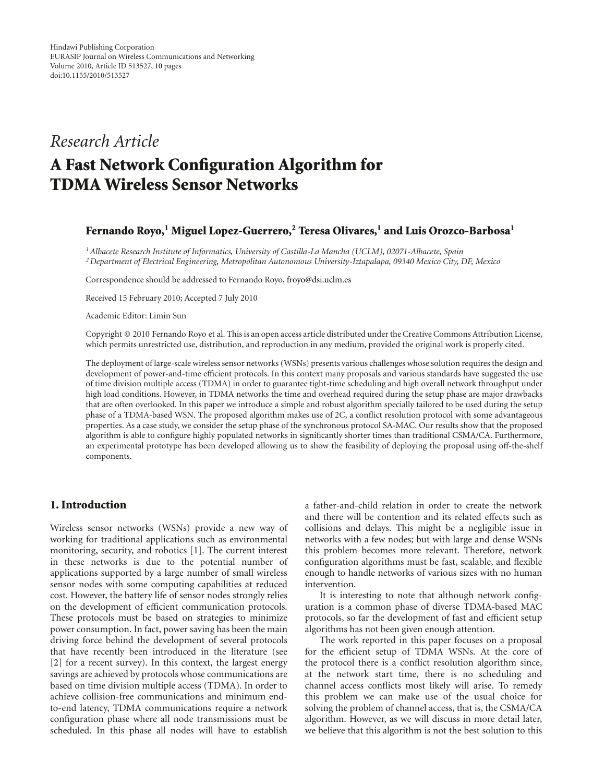## *Research Article*

# **A Fast Network Configuration Algorithm for TDMA Wireless Sensor Networks**

#### Fernando Royo,<sup>1</sup> Miguel Lopez-Guerrero,<sup>2</sup> Teresa Olivares,<sup>1</sup> and Luis Orozco-Barbosa<sup>1</sup>

*1Albacete Research Institute of Informatics, University of Castilla-La Mancha (UCLM), 02071-Albacete, Spain 2Department of Electrical Engineering, Metropolitan Autonomous University-Iztapalapa, 09340 Mexico City, DF, Mexico*

Correspondence should be addressed to Fernando Royo, froyo@dsi.uclm.es

Received 15 February 2010; Accepted 7 July 2010

Academic Editor: Limin Sun

Copyright © 2010 Fernando Royo et al. This is an open access article distributed under the Creative Commons Attribution License, which permits unrestricted use, distribution, and reproduction in any medium, provided the original work is properly cited.

The deployment of large-scale wireless sensor networks (WSNs) presents various challenges whose solution requires the design and development of power-and-time efficient protocols. In this context many proposals and various standards have suggested the use of time division multiple access (TDMA) in order to guarantee tight-time scheduling and high overall network throughput under high load conditions. However, in TDMA networks the time and overhead required during the setup phase are major drawbacks that are often overlooked. In this paper we introduce a simple and robust algorithm specially tailored to be used during the setup phase of a TDMA-based WSN. The proposed algorithm makes use of 2C, a conflict resolution protocol with some advantageous properties. As a case study, we consider the setup phase of the synchronous protocol SA-MAC. Our results show that the proposed algorithm is able to configure highly populated networks in significantly shorter times than traditional CSMA/CA. Furthermore, an experimental prototype has been developed allowing us to show the feasibility of deploying the proposal using off-the-shelf components.

### **1. Introduction**

Wireless sensor networks (WSNs) provide a new way of working for traditional applications such as environmental monitoring, security, and robotics [1]. The current interest in these networks is due to the potential number of applications supported by a large number of small wireless sensor nodes with some computing capabilities at reduced cost. However, the battery life of sensor nodes strongly relies on the development of efficient communication protocols. These protocols must be based on strategies to minimize power consumption. In fact, power saving has been the main driving force behind the development of several protocols that have recently been introduced in the literature (see [2] for a recent survey). In this context, the largest energy savings are achieved by protocols whose communications are based on time division multiple access (TDMA). In order to achieve collision-free communications and minimum endto-end latency, TDMA communications require a network configuration phase where all node transmissions must be scheduled. In this phase all nodes will have to establish

a father-and-child relation in order to create the network and there will be contention and its related effects such as collisions and delays. This might be a negligible issue in networks with a few nodes; but with large and dense WSNs this problem becomes more relevant. Therefore, network configuration algorithms must be fast, scalable, and flexible enough to handle networks of various sizes with no human intervention.

It is interesting to note that although network configuration is a common phase of diverse TDMA-based MAC protocols, so far the development of fast and efficient setup algorithms has not been given enough attention.

The work reported in this paper focuses on a proposal for the efficient setup of TDMA WSNs. At the core of the protocol there is a conflict resolution algorithm since, at the network start time, there is no scheduling and channel access conflicts most likely will arise. To remedy this problem we can make use of the usual choice for solving the problem of channel access, that is, the CSMA/CA algorithm. However, as we will discuss in more detail later, we believe that this algorithm is not the best solution to this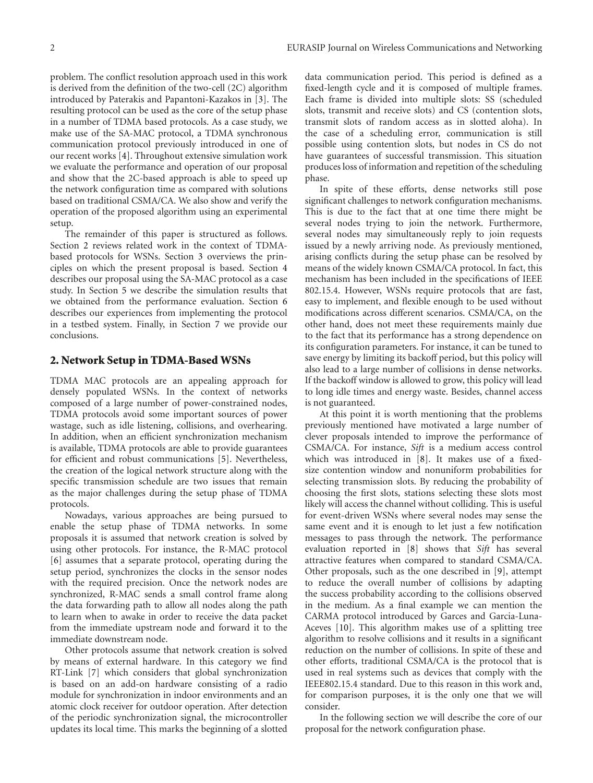problem. The conflict resolution approach used in this work is derived from the definition of the two-cell (2C) algorithm introduced by Paterakis and Papantoni-Kazakos in [3]. The resulting protocol can be used as the core of the setup phase in a number of TDMA based protocols. As a case study, we make use of the SA-MAC protocol, a TDMA synchronous communication protocol previously introduced in one of our recent works [4]. Throughout extensive simulation work we evaluate the performance and operation of our proposal and show that the 2C-based approach is able to speed up the network configuration time as compared with solutions based on traditional CSMA/CA. We also show and verify the operation of the proposed algorithm using an experimental setup.

The remainder of this paper is structured as follows. Section 2 reviews related work in the context of TDMAbased protocols for WSNs. Section 3 overviews the principles on which the present proposal is based. Section 4 describes our proposal using the SA-MAC protocol as a case study. In Section 5 we describe the simulation results that we obtained from the performance evaluation. Section 6 describes our experiences from implementing the protocol in a testbed system. Finally, in Section 7 we provide our conclusions.

#### **2. Network Setup in TDMA-Based WSNs**

TDMA MAC protocols are an appealing approach for densely populated WSNs. In the context of networks composed of a large number of power-constrained nodes, TDMA protocols avoid some important sources of power wastage, such as idle listening, collisions, and overhearing. In addition, when an efficient synchronization mechanism is available, TDMA protocols are able to provide guarantees for efficient and robust communications [5]. Nevertheless, the creation of the logical network structure along with the specific transmission schedule are two issues that remain as the major challenges during the setup phase of TDMA protocols.

Nowadays, various approaches are being pursued to enable the setup phase of TDMA networks. In some proposals it is assumed that network creation is solved by using other protocols. For instance, the R-MAC protocol [6] assumes that a separate protocol, operating during the setup period, synchronizes the clocks in the sensor nodes with the required precision. Once the network nodes are synchronized, R-MAC sends a small control frame along the data forwarding path to allow all nodes along the path to learn when to awake in order to receive the data packet from the immediate upstream node and forward it to the immediate downstream node.

Other protocols assume that network creation is solved by means of external hardware. In this category we find RT-Link [7] which considers that global synchronization is based on an add-on hardware consisting of a radio module for synchronization in indoor environments and an atomic clock receiver for outdoor operation. After detection of the periodic synchronization signal, the microcontroller updates its local time. This marks the beginning of a slotted

data communication period. This period is defined as a fixed-length cycle and it is composed of multiple frames. Each frame is divided into multiple slots: SS (scheduled slots, transmit and receive slots) and CS (contention slots, transmit slots of random access as in slotted aloha). In the case of a scheduling error, communication is still possible using contention slots, but nodes in CS do not have guarantees of successful transmission. This situation produces loss of information and repetition of the scheduling phase.

In spite of these efforts, dense networks still pose significant challenges to network configuration mechanisms. This is due to the fact that at one time there might be several nodes trying to join the network. Furthermore, several nodes may simultaneously reply to join requests issued by a newly arriving node. As previously mentioned, arising conflicts during the setup phase can be resolved by means of the widely known CSMA/CA protocol. In fact, this mechanism has been included in the specifications of IEEE 802.15.4. However, WSNs require protocols that are fast, easy to implement, and flexible enough to be used without modifications across different scenarios. CSMA/CA, on the other hand, does not meet these requirements mainly due to the fact that its performance has a strong dependence on its configuration parameters. For instance, it can be tuned to save energy by limiting its backoff period, but this policy will also lead to a large number of collisions in dense networks. If the backoff window is allowed to grow, this policy will lead to long idle times and energy waste. Besides, channel access is not guaranteed.

At this point it is worth mentioning that the problems previously mentioned have motivated a large number of clever proposals intended to improve the performance of CSMA/CA. For instance, *Sift* is a medium access control which was introduced in [8]. It makes use of a fixedsize contention window and nonuniform probabilities for selecting transmission slots. By reducing the probability of choosing the first slots, stations selecting these slots most likely will access the channel without colliding. This is useful for event-driven WSNs where several nodes may sense the same event and it is enough to let just a few notification messages to pass through the network. The performance evaluation reported in [8] shows that *Sift* has several attractive features when compared to standard CSMA/CA. Other proposals, such as the one described in [9], attempt to reduce the overall number of collisions by adapting the success probability according to the collisions observed in the medium. As a final example we can mention the CARMA protocol introduced by Garces and Garcia-Luna-Aceves [10]. This algorithm makes use of a splitting tree algorithm to resolve collisions and it results in a significant reduction on the number of collisions. In spite of these and other efforts, traditional CSMA/CA is the protocol that is used in real systems such as devices that comply with the IEEE802.15.4 standard. Due to this reason in this work and, for comparison purposes, it is the only one that we will consider.

In the following section we will describe the core of our proposal for the network configuration phase.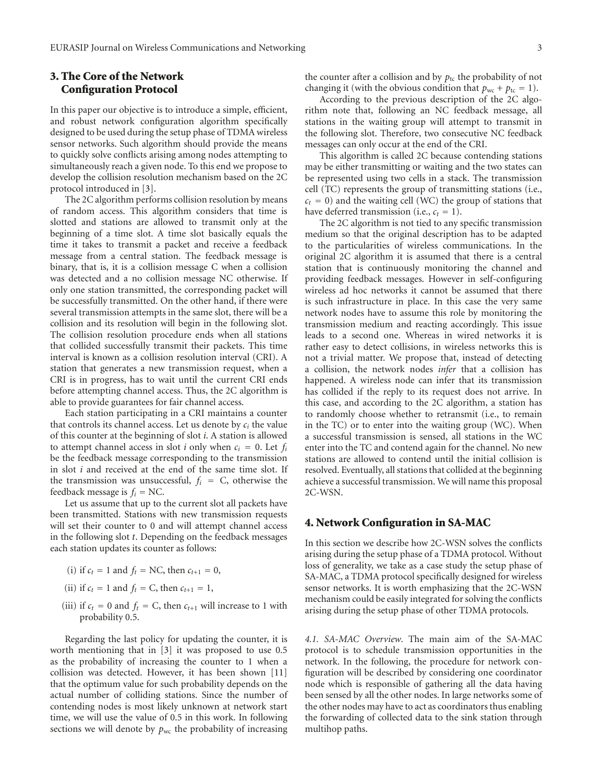## **3. The Core of the Network Configuration Protocol**

In this paper our objective is to introduce a simple, efficient, and robust network configuration algorithm specifically designed to be used during the setup phase of TDMA wireless sensor networks. Such algorithm should provide the means to quickly solve conflicts arising among nodes attempting to simultaneously reach a given node. To this end we propose to develop the collision resolution mechanism based on the 2C protocol introduced in [3].

The 2C algorithm performs collision resolution by means of random access. This algorithm considers that time is slotted and stations are allowed to transmit only at the beginning of a time slot. A time slot basically equals the time it takes to transmit a packet and receive a feedback message from a central station. The feedback message is binary, that is, it is a collision message C when a collision was detected and a no collision message NC otherwise. If only one station transmitted, the corresponding packet will be successfully transmitted. On the other hand, if there were several transmission attempts in the same slot, there will be a collision and its resolution will begin in the following slot. The collision resolution procedure ends when all stations that collided successfully transmit their packets. This time interval is known as a collision resolution interval (CRI). A station that generates a new transmission request, when a CRI is in progress, has to wait until the current CRI ends before attempting channel access. Thus, the 2C algorithm is able to provide guarantees for fair channel access.

Each station participating in a CRI maintains a counter that controls its channel access. Let us denote by *ci* the value of this counter at the beginning of slot *i*. A station is allowed to attempt channel access in slot *i* only when  $c_i = 0$ . Let  $f_i$ be the feedback message corresponding to the transmission in slot *i* and received at the end of the same time slot. If the transmission was unsuccessful,  $f_i = C$ , otherwise the feedback message is  $f_i = NC$ .

Let us assume that up to the current slot all packets have been transmitted. Stations with new transmission requests will set their counter to 0 and will attempt channel access in the following slot *t*. Depending on the feedback messages each station updates its counter as follows:

- (i) if  $c_t = 1$  and  $f_t = NC$ , then  $c_{t+1} = 0$ ,
- (ii) if  $c_t = 1$  and  $f_t = C$ , then  $c_{t+1} = 1$ ,
- (iii) if  $c_t = 0$  and  $f_t = C$ , then  $c_{t+1}$  will increase to 1 with probability 0.5.

Regarding the last policy for updating the counter, it is worth mentioning that in [3] it was proposed to use 0.5 as the probability of increasing the counter to 1 when a collision was detected. However, it has been shown [11] that the optimum value for such probability depends on the actual number of colliding stations. Since the number of contending nodes is most likely unknown at network start time, we will use the value of 0.5 in this work. In following sections we will denote by  $p_{wc}$  the probability of increasing

the counter after a collision and by  $p_{\text{tc}}$  the probability of not changing it (with the obvious condition that  $p_{wc} + p_{tc} = 1$ ).

According to the previous description of the 2C algorithm note that, following an NC feedback message, all stations in the waiting group will attempt to transmit in the following slot. Therefore, two consecutive NC feedback messages can only occur at the end of the CRI.

This algorithm is called 2C because contending stations may be either transmitting or waiting and the two states can be represented using two cells in a stack. The transmission cell (TC) represents the group of transmitting stations (i.e.,  $c_t$  = 0) and the waiting cell (WC) the group of stations that have deferred transmission (i.e.,  $c_t = 1$ ).

The 2C algorithm is not tied to any specific transmission medium so that the original description has to be adapted to the particularities of wireless communications. In the original 2C algorithm it is assumed that there is a central station that is continuously monitoring the channel and providing feedback messages. However in self-configuring wireless ad hoc networks it cannot be assumed that there is such infrastructure in place. In this case the very same network nodes have to assume this role by monitoring the transmission medium and reacting accordingly. This issue leads to a second one. Whereas in wired networks it is rather easy to detect collisions, in wireless networks this is not a trivial matter. We propose that, instead of detecting a collision, the network nodes *infer* that a collision has happened. A wireless node can infer that its transmission has collided if the reply to its request does not arrive. In this case, and according to the 2C algorithm, a station has to randomly choose whether to retransmit (i.e., to remain in the TC) or to enter into the waiting group (WC). When a successful transmission is sensed, all stations in the WC enter into the TC and contend again for the channel. No new stations are allowed to contend until the initial collision is resolved. Eventually, all stations that collided at the beginning achieve a successful transmission. We will name this proposal 2C-WSN.

#### **4. Network Configuration in SA-MAC**

In this section we describe how 2C-WSN solves the conflicts arising during the setup phase of a TDMA protocol. Without loss of generality, we take as a case study the setup phase of SA-MAC, a TDMA protocol specifically designed for wireless sensor networks. It is worth emphasizing that the 2C-WSN mechanism could be easily integrated for solving the conflicts arising during the setup phase of other TDMA protocols.

*4.1. SA-MAC Overview.* The main aim of the SA-MAC protocol is to schedule transmission opportunities in the network. In the following, the procedure for network configuration will be described by considering one coordinator node which is responsible of gathering all the data having been sensed by all the other nodes. In large networks some of the other nodes may have to act as coordinators thus enabling the forwarding of collected data to the sink station through multihop paths.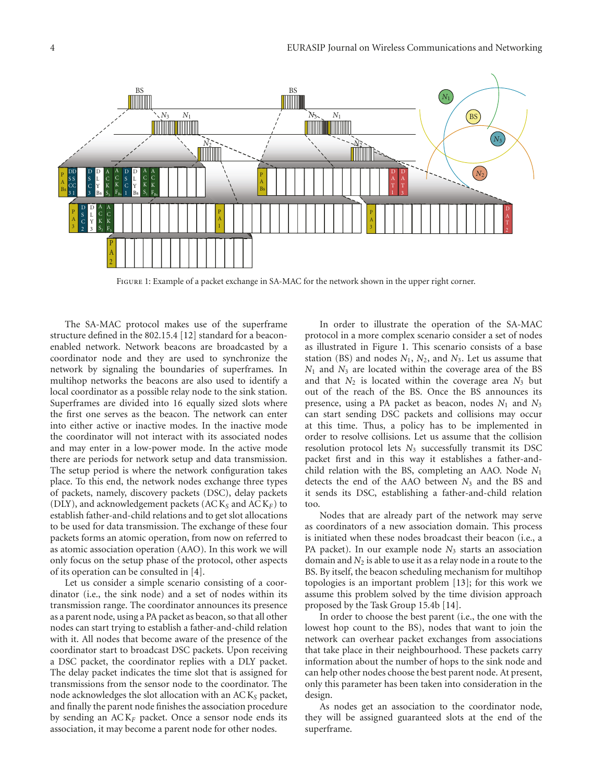

Figure 1: Example of a packet exchange in SA-MAC for the network shown in the upper right corner.

The SA-MAC protocol makes use of the superframe structure defined in the 802.15.4 [12] standard for a beaconenabled network. Network beacons are broadcasted by a coordinator node and they are used to synchronize the network by signaling the boundaries of superframes. In multihop networks the beacons are also used to identify a local coordinator as a possible relay node to the sink station. Superframes are divided into 16 equally sized slots where the first one serves as the beacon. The network can enter into either active or inactive modes. In the inactive mode the coordinator will not interact with its associated nodes and may enter in a low-power mode. In the active mode there are periods for network setup and data transmission. The setup period is where the network configuration takes place. To this end, the network nodes exchange three types of packets, namely, discovery packets (DSC), delay packets (DLY), and acknowledgement packets (AC K*<sup>S</sup>* and AC K*<sup>F</sup>* ) to establish father-and-child relations and to get slot allocations to be used for data transmission. The exchange of these four packets forms an atomic operation, from now on referred to as atomic association operation (AAO). In this work we will only focus on the setup phase of the protocol, other aspects of its operation can be consulted in [4].

Let us consider a simple scenario consisting of a coordinator (i.e., the sink node) and a set of nodes within its transmission range. The coordinator announces its presence as a parent node, using a PA packet as beacon, so that all other nodes can start trying to establish a father-and-child relation with it. All nodes that become aware of the presence of the coordinator start to broadcast DSC packets. Upon receiving a DSC packet, the coordinator replies with a DLY packet. The delay packet indicates the time slot that is assigned for transmissions from the sensor node to the coordinator. The node acknowledges the slot allocation with an AC K*<sup>S</sup>* packet, and finally the parent node finishes the association procedure by sending an AC K*<sup>F</sup>* packet. Once a sensor node ends its association, it may become a parent node for other nodes.

In order to illustrate the operation of the SA-MAC protocol in a more complex scenario consider a set of nodes as illustrated in Figure 1. This scenario consists of a base station (BS) and nodes  $N_1$ ,  $N_2$ , and  $N_3$ . Let us assume that *N*<sup>1</sup> and *N*<sup>3</sup> are located within the coverage area of the BS and that  $N_2$  is located within the coverage area  $N_3$  but out of the reach of the BS. Once the BS announces its presence, using a PA packet as beacon, nodes *N*<sup>1</sup> and *N*<sup>3</sup> can start sending DSC packets and collisions may occur at this time. Thus, a policy has to be implemented in order to resolve collisions. Let us assume that the collision resolution protocol lets *N*<sup>3</sup> successfully transmit its DSC packet first and in this way it establishes a father-andchild relation with the BS, completing an AAO. Node *N*<sup>1</sup> detects the end of the AAO between *N*<sup>3</sup> and the BS and it sends its DSC, establishing a father-and-child relation too.

Nodes that are already part of the network may serve as coordinators of a new association domain. This process is initiated when these nodes broadcast their beacon (i.e., a PA packet). In our example node *N*<sup>3</sup> starts an association domain and  $N_2$  is able to use it as a relay node in a route to the BS. By itself, the beacon scheduling mechanism for multihop topologies is an important problem [13]; for this work we assume this problem solved by the time division approach proposed by the Task Group 15.4b [14].

In order to choose the best parent (i.e., the one with the lowest hop count to the BS), nodes that want to join the network can overhear packet exchanges from associations that take place in their neighbourhood. These packets carry information about the number of hops to the sink node and can help other nodes choose the best parent node. At present, only this parameter has been taken into consideration in the design.

As nodes get an association to the coordinator node, they will be assigned guaranteed slots at the end of the superframe.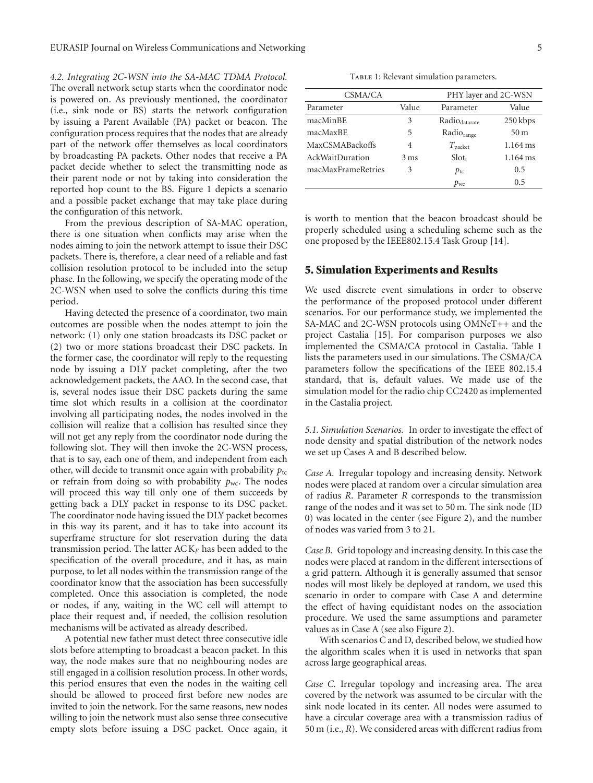*4.2. Integrating 2C-WSN into the SA-MAC TDMA Protocol.* The overall network setup starts when the coordinator node is powered on. As previously mentioned, the coordinator (i.e., sink node or BS) starts the network configuration by issuing a Parent Available (PA) packet or beacon. The configuration process requires that the nodes that are already part of the network offer themselves as local coordinators by broadcasting PA packets. Other nodes that receive a PA packet decide whether to select the transmitting node as their parent node or not by taking into consideration the reported hop count to the BS. Figure 1 depicts a scenario and a possible packet exchange that may take place during the configuration of this network.

From the previous description of SA-MAC operation, there is one situation when conflicts may arise when the nodes aiming to join the network attempt to issue their DSC packets. There is, therefore, a clear need of a reliable and fast collision resolution protocol to be included into the setup phase. In the following, we specify the operating mode of the 2C-WSN when used to solve the conflicts during this time period.

Having detected the presence of a coordinator, two main outcomes are possible when the nodes attempt to join the network: (1) only one station broadcasts its DSC packet or (2) two or more stations broadcast their DSC packets. In the former case, the coordinator will reply to the requesting node by issuing a DLY packet completing, after the two acknowledgement packets, the AAO. In the second case, that is, several nodes issue their DSC packets during the same time slot which results in a collision at the coordinator involving all participating nodes, the nodes involved in the collision will realize that a collision has resulted since they will not get any reply from the coordinator node during the following slot. They will then invoke the 2C-WSN process, that is to say, each one of them, and independent from each other, will decide to transmit once again with probability  $p_{\text{tc}}$ or refrain from doing so with probability  $p_{wc}$ . The nodes will proceed this way till only one of them succeeds by getting back a DLY packet in response to its DSC packet. The coordinator node having issued the DLY packet becomes in this way its parent, and it has to take into account its superframe structure for slot reservation during the data transmission period. The latter AC K*<sup>F</sup>* has been added to the specification of the overall procedure, and it has, as main purpose, to let all nodes within the transmission range of the coordinator know that the association has been successfully completed. Once this association is completed, the node or nodes, if any, waiting in the WC cell will attempt to place their request and, if needed, the collision resolution mechanisms will be activated as already described.

A potential new father must detect three consecutive idle slots before attempting to broadcast a beacon packet. In this way, the node makes sure that no neighbouring nodes are still engaged in a collision resolution process. In other words, this period ensures that even the nodes in the waiting cell should be allowed to proceed first before new nodes are invited to join the network. For the same reasons, new nodes willing to join the network must also sense three consecutive empty slots before issuing a DSC packet. Once again, it

TABLE 1: Relevant simulation parameters.

| CSMA/CA                |                | PHY layer and 2C-WSN      |                 |  |
|------------------------|----------------|---------------------------|-----------------|--|
| Parameter              | Value          | Parameter                 | Value           |  |
| macMinBE               | 3              | Radio <sub>datarate</sub> | 250 kbps        |  |
| macMaxBE               | 5              | Radiorange                | 50 <sub>m</sub> |  |
| <b>MaxCSMABackoffs</b> | $\overline{4}$ | $T_{\rm packet}$          | 1.164 ms        |  |
| AckWaitDuration        | $3 \text{ ms}$ | $Slot_{t}$                | 1.164 ms        |  |
| macMaxFrameRetries     | 3              | $p_{\rm tc}$              | 0.5             |  |
|                        |                | $p_{\text{wc}}$           | 0.5             |  |
|                        |                |                           |                 |  |

is worth to mention that the beacon broadcast should be properly scheduled using a scheduling scheme such as the one proposed by the IEEE802.15.4 Task Group [14].

#### **5. Simulation Experiments and Results**

We used discrete event simulations in order to observe the performance of the proposed protocol under different scenarios. For our performance study, we implemented the SA-MAC and 2C-WSN protocols using OMNeT++ and the project Castalia [15]. For comparison purposes we also implemented the CSMA/CA protocol in Castalia. Table 1 lists the parameters used in our simulations. The CSMA/CA parameters follow the specifications of the IEEE 802.15.4 standard, that is, default values. We made use of the simulation model for the radio chip CC2420 as implemented in the Castalia project.

*5.1. Simulation Scenarios.* In order to investigate the effect of node density and spatial distribution of the network nodes we set up Cases A and B described below.

*Case A.* Irregular topology and increasing density. Network nodes were placed at random over a circular simulation area of radius *R*. Parameter *R* corresponds to the transmission range of the nodes and it was set to 50 m. The sink node (ID 0) was located in the center (see Figure 2), and the number of nodes was varied from 3 to 21.

*Case B.* Grid topology and increasing density. In this case the nodes were placed at random in the different intersections of a grid pattern. Although it is generally assumed that sensor nodes will most likely be deployed at random, we used this scenario in order to compare with Case A and determine the effect of having equidistant nodes on the association procedure. We used the same assumptions and parameter values as in Case A (see also Figure 2).

With scenarios C and D, described below, we studied how the algorithm scales when it is used in networks that span across large geographical areas.

*Case C.* Irregular topology and increasing area. The area covered by the network was assumed to be circular with the sink node located in its center. All nodes were assumed to have a circular coverage area with a transmission radius of 50 m (i.e., *R*). We considered areas with different radius from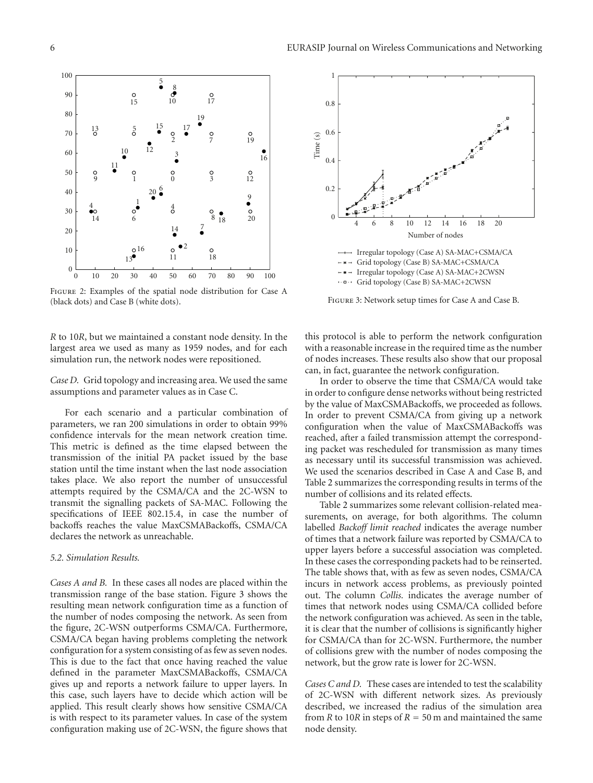0

 $*$   $\epsilon$  -  $\alpha$  -  $\epsilon$ 

0*.*2

0*.*4

0*.*6

Time (s)

0*.*8

1

Figure 2: Examples of the spatial node distribution for Case A (black dots) and Case B (white dots).

*R* to 10*R*, but we maintained a constant node density. In the largest area we used as many as 1959 nodes, and for each simulation run, the network nodes were repositioned.

*Case D.* Grid topology and increasing area. We used the same assumptions and parameter values as in Case C.

For each scenario and a particular combination of parameters, we ran 200 simulations in order to obtain 99% confidence intervals for the mean network creation time. This metric is defined as the time elapsed between the transmission of the initial PA packet issued by the base station until the time instant when the last node association takes place. We also report the number of unsuccessful attempts required by the CSMA/CA and the 2C-WSN to transmit the signalling packets of SA-MAC. Following the specifications of IEEE 802.15.4, in case the number of backoffs reaches the value MaxCSMABackoffs, CSMA/CA declares the network as unreachable.

#### *5.2. Simulation Results.*

*Cases A and B.* In these cases all nodes are placed within the transmission range of the base station. Figure 3 shows the resulting mean network configuration time as a function of the number of nodes composing the network. As seen from the figure, 2C-WSN outperforms CSMA/CA. Furthermore, CSMA/CA began having problems completing the network configuration for a system consisting of as few as seven nodes. This is due to the fact that once having reached the value defined in the parameter MaxCSMABackoffs, CSMA/CA gives up and reports a network failure to upper layers. In this case, such layers have to decide which action will be applied. This result clearly shows how sensitive CSMA/CA is with respect to its parameter values. In case of the system configuration making use of 2C-WSN, the figure shows that



4 6 8 10 12 14 16 18 20 Number of nodes Irregular topology (Case A) SA-MAC+CSMA/CA Grid topology (Case B) SA-MAC+CSMA/CA Irregular topology (Case A) SA-MAC+2CWSN Grid topology (Case B) SA-MAC+2CWSN Figure 3: Network setup times for Case A and Case B.

In order to observe the time that CSMA/CA would take in order to configure dense networks without being restricted by the value of MaxCSMABackoffs, we proceeded as follows. In order to prevent CSMA/CA from giving up a network configuration when the value of MaxCSMABackoffs was reached, after a failed transmission attempt the corresponding packet was rescheduled for transmission as many times as necessary until its successful transmission was achieved. We used the scenarios described in Case A and Case B, and Table 2 summarizes the corresponding results in terms of the number of collisions and its related effects.

Table 2 summarizes some relevant collision-related measurements, on average, for both algorithms. The column labelled *Backoff limit reached* indicates the average number of times that a network failure was reported by CSMA/CA to upper layers before a successful association was completed. In these cases the corresponding packets had to be reinserted. The table shows that, with as few as seven nodes, CSMA/CA incurs in network access problems, as previously pointed out. The column *Collis.* indicates the average number of times that network nodes using CSMA/CA collided before the network configuration was achieved. As seen in the table, it is clear that the number of collisions is significantly higher for CSMA/CA than for 2C-WSN. Furthermore, the number of collisions grew with the number of nodes composing the network, but the grow rate is lower for 2C-WSN.

*Cases C and D.* These cases are intended to test the scalability of 2C-WSN with different network sizes. As previously described, we increased the radius of the simulation area from *R* to 10*R* in steps of  $R = 50$  m and maintained the same node density.

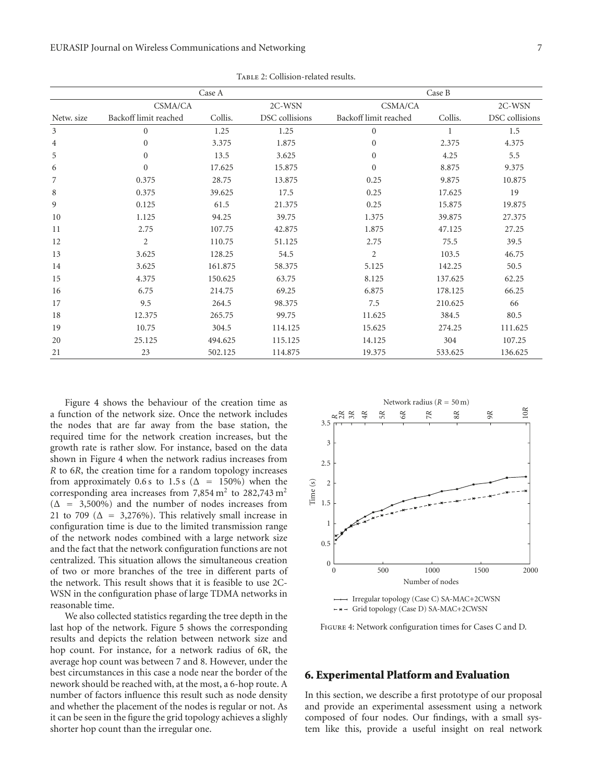|            |                       | Case A  |                |                       | Case B  |                |
|------------|-----------------------|---------|----------------|-----------------------|---------|----------------|
|            | CSMA/CA               |         | 2C-WSN         | CSMA/CA               |         | 2C-WSN         |
| Netw. size | Backoff limit reached | Collis. | DSC collisions | Backoff limit reached | Collis. | DSC collisions |
| 3          | $\boldsymbol{0}$      | 1.25    | 1.25           | $\overline{0}$        | 1       | 1.5            |
| 4          | $\mathbf{0}$          | 3.375   | 1.875          | $\Omega$              | 2.375   | 4.375          |
| 5          | $\overline{0}$        | 13.5    | 3.625          | $\overline{0}$        | 4.25    | 5.5            |
| 6          | $\overline{0}$        | 17.625  | 15.875         | $\Omega$              | 8.875   | 9.375          |
| 7          | 0.375                 | 28.75   | 13.875         | 0.25                  | 9.875   | 10.875         |
| 8          | 0.375                 | 39.625  | 17.5           | 0.25                  | 17.625  | 19             |
| 9          | 0.125                 | 61.5    | 21.375         | 0.25                  | 15.875  | 19.875         |
| 10         | 1.125                 | 94.25   | 39.75          | 1.375                 | 39.875  | 27.375         |
| 11         | 2.75                  | 107.75  | 42.875         | 1.875                 | 47.125  | 27.25          |
| 12         | $\overline{2}$        | 110.75  | 51.125         | 2.75                  | 75.5    | 39.5           |
| 13         | 3.625                 | 128.25  | 54.5           | $\overline{2}$        | 103.5   | 46.75          |
| 14         | 3.625                 | 161.875 | 58.375         | 5.125                 | 142.25  | 50.5           |
| 15         | 4.375                 | 150.625 | 63.75          | 8.125                 | 137.625 | 62.25          |
| 16         | 6.75                  | 214.75  | 69.25          | 6.875                 | 178.125 | 66.25          |
| 17         | 9.5                   | 264.5   | 98.375         | 7.5                   | 210.625 | 66             |
| 18         | 12.375                | 265.75  | 99.75          | 11.625                | 384.5   | 80.5           |
| 19         | 10.75                 | 304.5   | 114.125        | 15.625                | 274.25  | 111.625        |
| 20         | 25.125                | 494.625 | 115.125        | 14.125                | 304     | 107.25         |
| 21         | 23                    | 502.125 | 114.875        | 19.375                | 533.625 | 136.625        |

TABLE 2: Collision-related results.

Figure 4 shows the behaviour of the creation time as a function of the network size. Once the network includes the nodes that are far away from the base station, the required time for the network creation increases, but the growth rate is rather slow. For instance, based on the data shown in Figure 4 when the network radius increases from *R* to 6*R*, the creation time for a random topology increases from approximately 0.6 s to 1.5 s ( $\Delta$  = 150%) when the corresponding area increases from  $7,854 \text{ m}^2$  to  $282,743 \text{ m}^2$  $(\Delta = 3,500\%)$  and the number of nodes increases from 21 to 709 ( $\Delta$  = 3,276%). This relatively small increase in configuration time is due to the limited transmission range of the network nodes combined with a large network size and the fact that the network configuration functions are not centralized. This situation allows the simultaneous creation of two or more branches of the tree in different parts of the network. This result shows that it is feasible to use 2C-WSN in the configuration phase of large TDMA networks in reasonable time.

We also collected statistics regarding the tree depth in the last hop of the network. Figure 5 shows the corresponding results and depicts the relation between network size and hop count. For instance, for a network radius of 6R, the average hop count was between 7 and 8. However, under the best circumstances in this case a node near the border of the nework should be reached with, at the most, a 6-hop route. A number of factors influence this result such as node density and whether the placement of the nodes is regular or not. As it can be seen in the figure the grid topology achieves a slighly shorter hop count than the irregular one.



Irregular topology (Case C) SA-MAC+2CWSN -\*- Grid topology (Case D) SA-MAC+2CWSN

Figure 4: Network configuration times for Cases C and D.

#### **6. Experimental Platform and Evaluation**

In this section, we describe a first prototype of our proposal and provide an experimental assessment using a network composed of four nodes. Our findings, with a small system like this, provide a useful insight on real network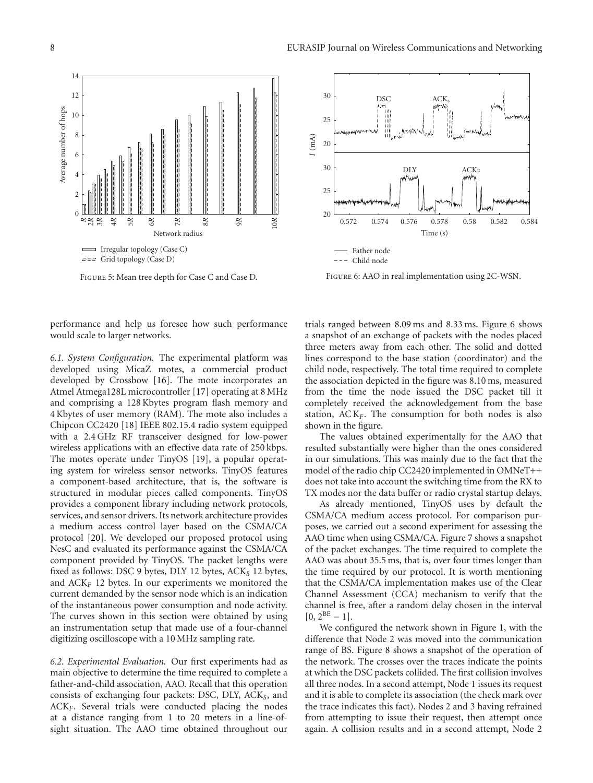$DSC$ 

- Father node --- Child node

performance and help us foresee how such performance would scale to larger networks.

*6.1. System Configuration.* The experimental platform was developed using MicaZ motes, a commercial product developed by Crossbow [16]. The mote incorporates an Atmel Atmega128L microcontroller [17] operating at 8 MHz and comprising a 128 Kbytes program flash memory and 4 Kbytes of user memory (RAM). The mote also includes a Chipcon CC2420 [18] IEEE 802.15.4 radio system equipped with a 2.4 GHz RF transceiver designed for low-power wireless applications with an effective data rate of 250 kbps. The motes operate under TinyOS [19], a popular operating system for wireless sensor networks. TinyOS features a component-based architecture, that is, the software is structured in modular pieces called components. TinyOS provides a component library including network protocols, services, and sensor drivers. Its network architecture provides a medium access control layer based on the CSMA/CA protocol [20]. We developed our proposed protocol using NesC and evaluated its performance against the CSMA/CA component provided by TinyOS. The packet lengths were fixed as follows: DSC 9 bytes, DLY 12 bytes, ACK*<sup>S</sup>* 12 bytes, and ACK*<sup>F</sup>* 12 bytes. In our experiments we monitored the current demanded by the sensor node which is an indication of the instantaneous power consumption and node activity. The curves shown in this section were obtained by using an instrumentation setup that made use of a four-channel digitizing oscilloscope with a 10 MHz sampling rate.

*6.2. Experimental Evaluation.* Our first experiments had as main objective to determine the time required to complete a father-and-child association, AAO. Recall that this operation consists of exchanging four packets: DSC, DLY, ACK*S*, and ACK*<sup>F</sup>* . Several trials were conducted placing the nodes at a distance ranging from 1 to 20 meters in a line-ofsight situation. The AAO time obtained throughout our

trials ranged between 8.09 ms and 8.33 ms. Figure 6 shows a snapshot of an exchange of packets with the nodes placed three meters away from each other. The solid and dotted lines correspond to the base station (coordinator) and the child node, respectively. The total time required to complete the association depicted in the figure was 8.10 ms, measured from the time the node issued the DSC packet till it completely received the acknowledgement from the base station,  $ACK_F$ . The consumption for both nodes is also shown in the figure.

The values obtained experimentally for the AAO that resulted substantially were higher than the ones considered in our simulations. This was mainly due to the fact that the model of the radio chip CC2420 implemented in OMNeT++ does not take into account the switching time from the RX to TX modes nor the data buffer or radio crystal startup delays.

As already mentioned, TinyOS uses by default the CSMA/CA medium access protocol. For comparison purposes, we carried out a second experiment for assessing the AAO time when using CSMA/CA. Figure 7 shows a snapshot of the packet exchanges. The time required to complete the AAO was about 35.5 ms, that is, over four times longer than the time required by our protocol. It is worth mentioning that the CSMA/CA implementation makes use of the Clear Channel Assessment (CCA) mechanism to verify that the channel is free, after a random delay chosen in the interval  $[0, 2^{BE} - 1]$ .

We configured the network shown in Figure 1, with the difference that Node 2 was moved into the communication range of BS. Figure 8 shows a snapshot of the operation of the network. The crosses over the traces indicate the points at which the DSC packets collided. The first collision involves all three nodes. In a second attempt, Node 1 issues its request and it is able to complete its association (the check mark over the trace indicates this fact). Nodes 2 and 3 having refrained from attempting to issue their request, then attempt once again. A collision results and in a second attempt, Node 2



Figure 6: AAO in real implementation using 2C-WSN.

DLY ACK

0*.*572 0*.*574 0*.*576 0*.*578 0*.*58 0*.*582 0*.*584 Time (s)

20

25

30

20

25

30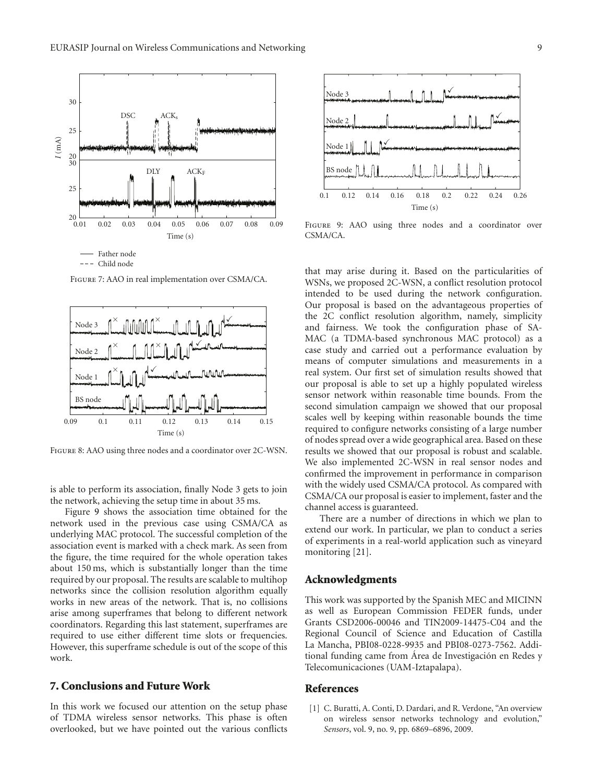

Figure 7: AAO in real implementation over CSMA/CA.



Figure 8: AAO using three nodes and a coordinator over 2C-WSN.

is able to perform its association, finally Node 3 gets to join the network, achieving the setup time in about 35 ms.

Figure 9 shows the association time obtained for the network used in the previous case using CSMA/CA as underlying MAC protocol. The successful completion of the association event is marked with a check mark. As seen from the figure, the time required for the whole operation takes about 150 ms, which is substantially longer than the time required by our proposal. The results are scalable to multihop networks since the collision resolution algorithm equally works in new areas of the network. That is, no collisions arise among superframes that belong to different network coordinators. Regarding this last statement, superframes are required to use either different time slots or frequencies. However, this superframe schedule is out of the scope of this work.

#### **7. Conclusions and Future Work**

In this work we focused our attention on the setup phase of TDMA wireless sensor networks. This phase is often overlooked, but we have pointed out the various conflicts



Figure 9: AAO using three nodes and a coordinator over CSMA/CA.

that may arise during it. Based on the particularities of WSNs, we proposed 2C-WSN, a conflict resolution protocol intended to be used during the network configuration. Our proposal is based on the advantageous properties of the 2C conflict resolution algorithm, namely, simplicity and fairness. We took the configuration phase of SA-MAC (a TDMA-based synchronous MAC protocol) as a case study and carried out a performance evaluation by means of computer simulations and measurements in a real system. Our first set of simulation results showed that our proposal is able to set up a highly populated wireless sensor network within reasonable time bounds. From the second simulation campaign we showed that our proposal scales well by keeping within reasonable bounds the time required to configure networks consisting of a large number of nodes spread over a wide geographical area. Based on these results we showed that our proposal is robust and scalable. We also implemented 2C-WSN in real sensor nodes and confirmed the improvement in performance in comparison with the widely used CSMA/CA protocol. As compared with CSMA/CA our proposal is easier to implement, faster and the channel access is guaranteed.

There are a number of directions in which we plan to extend our work. In particular, we plan to conduct a series of experiments in a real-world application such as vineyard monitoring [21].

#### **Acknowledgments**

This work was supported by the Spanish MEC and MICINN as well as European Commission FEDER funds, under Grants CSD2006-00046 and TIN2009-14475-C04 and the Regional Council of Science and Education of Castilla La Mancha, PBI08-0228-9935 and PBI08-0273-7562. Additional funding came from Área de Investigación en Redes y Telecomunicaciones (UAM-Iztapalapa).

#### **References**

[1] C. Buratti, A. Conti, D. Dardari, and R. Verdone, "An overview on wireless sensor networks technology and evolution," *Sensors*, vol. 9, no. 9, pp. 6869–6896, 2009.